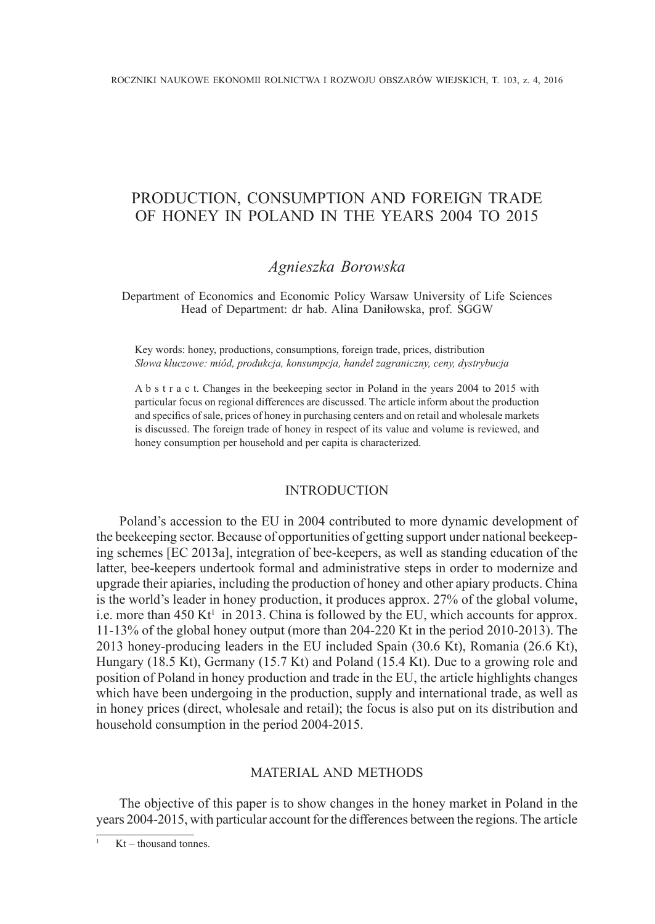# PRODUCTION, CONSUMPTION AND FOREIGN TRADE OF HONEY IN POLAND IN THE YEARS 2004 TO 2015

# *Agnieszka Borowska*

Department of Economics and Economic Policy Warsaw University of Life Sciences Head of Department: dr hab. Alina Daniłowska, prof. SGGW

Key words: honey, productions, consumptions, foreign trade, prices, distribution *Słowa kluczowe: miód, produkcja, konsumpcja, handel zagraniczny, ceny, dystrybucja*

A b s t r a c t. Changes in the beekeeping sector in Poland in the years 2004 to 2015 with particular focus on regional differences are discussed. The article inform about the production and specifics of sale, prices of honey in purchasing centers and on retail and wholesale markets is discussed. The foreign trade of honey in respect of its value and volume is reviewed, and honey consumption per household and per capita is characterized.

#### **INTRODUCTION**

Poland's accession to the EU in 2004 contributed to more dynamic development of the beekeeping sector. Because of opportunities of getting support under national beekeeping schemes [EC 2013a], integration of bee-keepers, as well as standing education of the latter, bee-keepers undertook formal and administrative steps in order to modernize and upgrade their apiaries, including the production of honey and other apiary products. China is the world's leader in honey production, it produces approx. 27% of the global volume, i.e. more than  $450 \text{ Kt}^1$  in 2013. China is followed by the EU, which accounts for approx. 11-13% of the global honey output (more than 204-220 Kt in the period 2010-2013). The 2013 honey-producing leaders in the EU included Spain (30.6 Kt), Romania (26.6 Kt), Hungary (18.5 Kt), Germany (15.7 Kt) and Poland (15.4 Kt). Due to a growing role and position of Poland in honey production and trade in the EU, the article highlights changes which have been undergoing in the production, supply and international trade, as well as in honey prices (direct, wholesale and retail); the focus is also put on its distribution and household consumption in the period 2004-2015.

### MATERIAL AND METHODS

The objective of this paper is to show changes in the honey market in Poland in the years 2004-2015, with particular account for the differences between the regions. The article

 $Kt$  – thousand tonnes.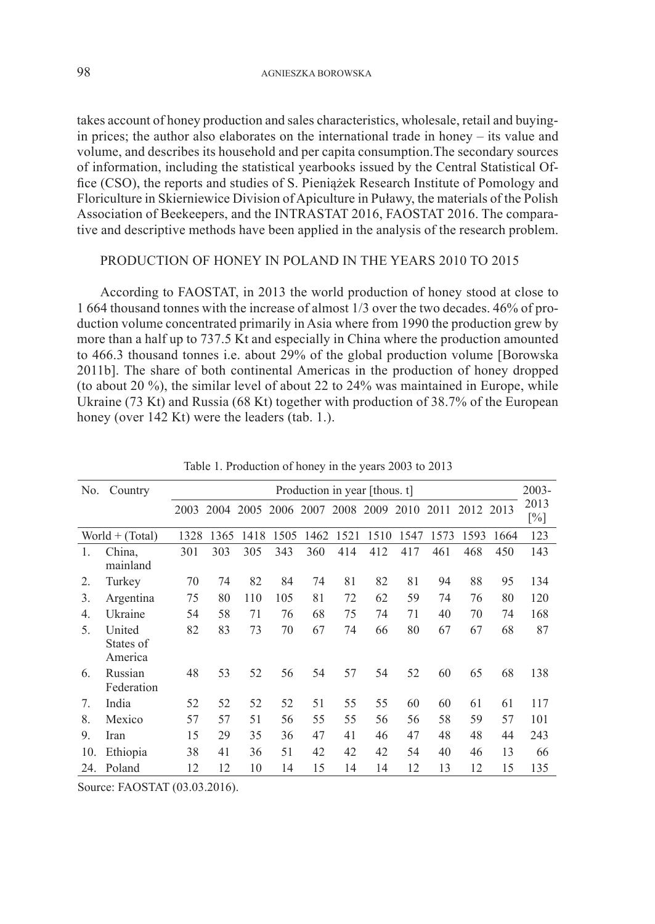takes account of honey production and sales characteristics, wholesale, retail and buyingin prices; the author also elaborates on the international trade in honey – its value and volume, and describes its household and per capita consumption.The secondary sources of information, including the statistical yearbooks issued by the Central Statistical Office (CSO), the reports and studies of S. Pieniążek Research Institute of Pomology and Floriculture in Skierniewice Division of Apiculture in Puławy, the materials of the Polish Association of Beekeepers, and the INTRASTAT 2016, FAOSTAT 2016. The comparative and descriptive methods have been applied in the analysis of the research problem.

## PRODUCTION OF HONEY IN POLAND IN THE YEARS 2010 TO 2015

According to FAOSTAT, in 2013 the world production of honey stood at close to 1 664 thousand tonnes with the increase of almost 1/3 over the two decades. 46% of production volume concentrated primarily in Asia where from 1990 the production grew by more than a half up to 737.5 Kt and especially in China where the production amounted to 466.3 thousand tonnes i.e. about 29% of the global production volume [Borowska 2011b]. The share of both continental Americas in the production of honey dropped (to about 20 %), the similar level of about 22 to 24% was maintained in Europe, while Ukraine (73 Kt) and Russia (68 Kt) together with production of 38.7% of the European honey (over 142 Kt) were the leaders (tab. 1.).

| No.              | Country                        |      |      |      |      |           |      | Production in year [thous. t] |      |      |      |      | $2003 -$    |
|------------------|--------------------------------|------|------|------|------|-----------|------|-------------------------------|------|------|------|------|-------------|
|                  |                                | 2003 | 2004 | 2005 |      | 2006 2007 |      | 2008 2009                     | 2010 | 2011 | 2012 | 2013 | 2013<br>[%] |
|                  | $World + (Total)$              | 1328 | 1365 | 1418 | 1505 | 1462      | 1521 | 1510                          | 1547 | 1573 | 1593 | 1664 | 123         |
| 1.               | China,<br>mainland             | 301  | 303  | 305  | 343  | 360       | 414  | 412                           | 417  | 461  | 468  | 450  | 143         |
| $\overline{2}$ . | Turkey                         | 70   | 74   | 82   | 84   | 74        | 81   | 82                            | 81   | 94   | 88   | 95   | 134         |
| 3.               | Argentina                      | 75   | 80   | 110  | 105  | 81        | 72   | 62                            | 59   | 74   | 76   | 80   | 120         |
| 4.               | Ukraine                        | 54   | 58   | 71   | 76   | 68        | 75   | 74                            | 71   | 40   | 70   | 74   | 168         |
| 5.               | United<br>States of<br>America | 82   | 83   | 73   | 70   | 67        | 74   | 66                            | 80   | 67   | 67   | 68   | 87          |
| 6.               | Russian<br>Federation          | 48   | 53   | 52   | 56   | 54        | 57   | 54                            | 52   | 60   | 65   | 68   | 138         |
| 7.               | India                          | 52   | 52   | 52   | 52   | 51        | 55   | 55                            | 60   | 60   | 61   | 61   | 117         |
| 8.               | Mexico                         | 57   | 57   | 51   | 56   | 55        | 55   | 56                            | 56   | 58   | 59   | 57   | 101         |
| 9.               | Iran                           | 15   | 29   | 35   | 36   | 47        | 41   | 46                            | 47   | 48   | 48   | 44   | 243         |
| 10.              | Ethiopia                       | 38   | 41   | 36   | 51   | 42        | 42   | 42                            | 54   | 40   | 46   | 13   | 66          |
| 24.              | Poland                         | 12   | 12   | 10   | 14   | 15        | 14   | 14                            | 12   | 13   | 12   | 15   | 135         |

Table 1. Production of honey in the years 2003 to 2013

Source: FAOSTAT (03.03.2016).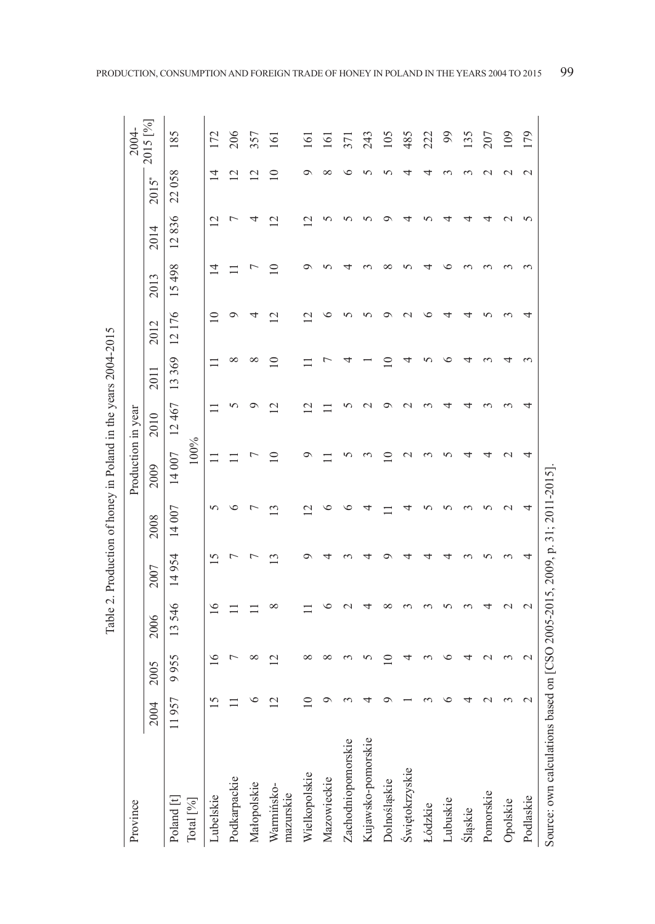| Province                |                 |                          |                           |               |                | Production in year |             |             |                          |                |                       |                | 2004-            |
|-------------------------|-----------------|--------------------------|---------------------------|---------------|----------------|--------------------|-------------|-------------|--------------------------|----------------|-----------------------|----------------|------------------|
|                         | 2004            | 2005                     | 2006                      | 2007          | 2008           | 2009               | 2010        | 2011        | 2012                     | 2013           | 2014                  | $2015$ *       | 2015 [%]         |
| Poland [t]              | 957             | 9955                     | 13546                     | 14954         | 14 007         | 14007              | 12467       | 13369       | 12176                    | 15498          | 836<br>$\overline{c}$ | 22058          | 185              |
| Total $[\%]$            |                 |                          |                           |               |                | 100%               |             |             |                          |                |                       |                |                  |
| Lubelskie               | $\overline{15}$ | $\geq$                   | $\widetilde{\phantom{a}}$ |               | 5              |                    |             | ニ           | $\equiv$                 | $\overline{4}$ | $\overline{2}$        | $\overline{4}$ | 172              |
| Podkarpackie            |                 | L                        |                           |               |                |                    |             | ∞           | ๑                        |                | ŗ                     | $\overline{2}$ | 206              |
| Małopolskie             |                 | ${}^{\circ}$             |                           |               |                |                    |             | $^{\circ}$  | ↴                        |                | ↴                     | $\overline{c}$ | 357              |
| Warmińsko-<br>mazurskie |                 | $\overline{\mathcal{C}}$ | $\infty$                  | $\mathbf{13}$ | $\mathbf{13}$  | ≘                  | $\supseteq$ | $\supseteq$ | $\overline{c}$           | $\supseteq$    | $\overline{2}$        | $\supseteq$    | $\overline{161}$ |
| Wielkopolskie           |                 | ∞                        |                           |               | $\bar{\omega}$ | ヮ                  |             |             | $\overline{\mathcal{C}}$ |                | $\sim$                |                | $\overline{161}$ |
| Mazowieckie             |                 | ${}^{\circ}$             |                           |               | ७              |                    |             |             | ७                        |                |                       | $\infty$       | $\overline{5}$   |
| Zachodniopomorskie      |                 | 3                        |                           |               | ७              | n                  |             |             | ∽                        |                |                       |                | 371              |
| Kujawsko-pomorskie      |                 |                          |                           |               |                |                    |             |             | ∽                        |                |                       |                | 243              |
| Dolnośląskie            |                 | 9                        | ∞                         |               |                | $\subseteq$        |             | $\supseteq$ | ⌒                        | ∞              |                       |                | 105              |
| Świętokrzyskie          |                 | 4                        |                           |               |                | $\sim$             |             |             | $\sim$                   |                |                       |                | 485              |
| Łódzkie                 |                 |                          |                           |               |                |                    |             |             | ≌                        |                |                       |                | 222              |
| Lubuskie                |                 | ७                        |                           |               |                |                    |             | ∘           | ₹                        | ∘              | ₹                     |                | 66               |
| Śląskie                 |                 | 4                        |                           |               |                | 寸                  |             |             | ↴                        |                | 4                     |                | 135              |
| Pomorskie               |                 |                          |                           |               |                | ᅿ                  |             |             |                          |                | ↴                     |                | 207              |
| Opolskie                |                 | $\sim$                   | $\sim$                    |               | $\mathbf 2$    | $\mathcal{C}$      |             |             |                          |                | $\sim$                | $\sim$         | 109              |
| Podlaskie               | $\mathcal{L}$   | $\mathbf{\Omega}$        | $\mathbf{\sim}$           | 4             | 4              | 4                  |             |             | ᡪ                        |                | 5                     | $\mathcal{L}$  | 179              |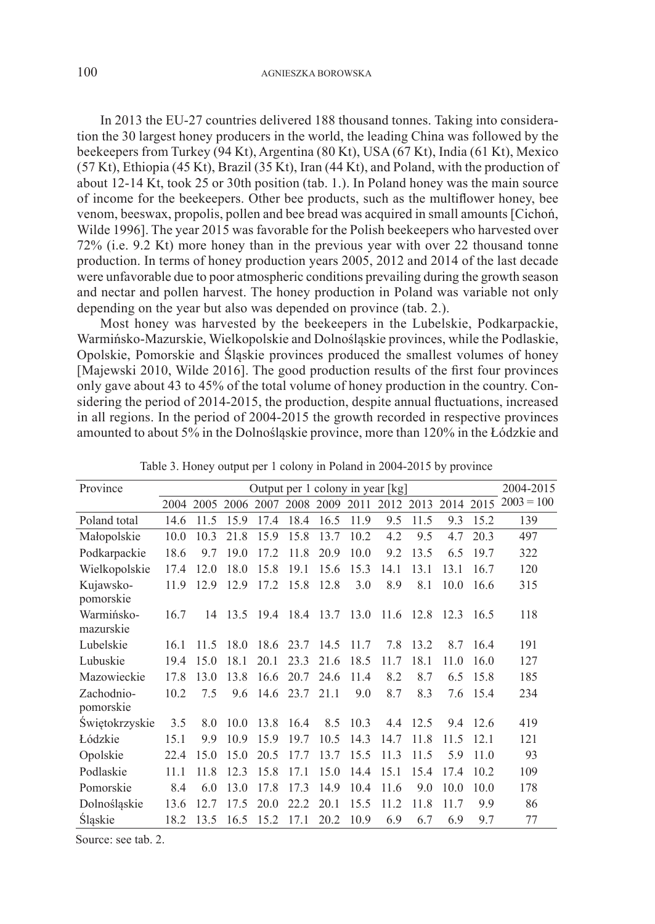In 2013 the EU-27 countries delivered 188 thousand tonnes. Taking into consideration the 30 largest honey producers in the world, the leading China was followed by the beekeepers from Turkey (94 Kt), Argentina (80 Kt), USA (67 Kt), India (61 Kt), Mexico (57 Kt), Ethiopia (45 Kt), Brazil (35 Kt), Iran (44 Kt), and Poland, with the production of about 12-14 Kt, took 25 or 30th position (tab. 1.). In Poland honey was the main source of income for the beekeepers. Other bee products, such as the multiflower honey, bee venom, beeswax, propolis, pollen and bee bread was acquired in small amounts [Cichoń, Wilde 1996]. The year 2015 was favorable for the Polish beekeepers who harvested over 72% (i.e. 9.2 Kt) more honey than in the previous year with over 22 thousand tonne production. In terms of honey production years 2005, 2012 and 2014 of the last decade were unfavorable due to poor atmospheric conditions prevailing during the growth season and nectar and pollen harvest. The honey production in Poland was variable not only depending on the year but also was depended on province (tab. 2.).

Most honey was harvested by the beekeepers in the Lubelskie, Podkarpackie, Warmińsko-Mazurskie, Wielkopolskie and Dolnośląskie provinces, while the Podlaskie, Opolskie, Pomorskie and Śląskie provinces produced the smallest volumes of honey [Majewski 2010, Wilde 2016]. The good production results of the first four provinces only gave about 43 to 45% of the total volume of honey production in the country. Considering the period of 2014-2015, the production, despite annual fluctuations, increased in all regions. In the period of 2004-2015 the growth recorded in respective provinces amounted to about 5% in the Dolnośląskie province, more than 120% in the Łódzkie and

| Province                |      |      |                 |                                    |           |      |      | Output per 1 colony in year [kg]      |      |                     |       | 2004-2015    |
|-------------------------|------|------|-----------------|------------------------------------|-----------|------|------|---------------------------------------|------|---------------------|-------|--------------|
|                         |      |      |                 | 2004 2005 2006 2007 2008 2009 2011 |           |      |      |                                       |      | 2012 2013 2014 2015 |       | $2003 = 100$ |
| Poland total            | 14.6 | 11.5 | 15.9            | 17.4                               | 18.4      | 16.5 | 11.9 | 9.5                                   | 11.5 | 9.3                 | 15.2  | 139          |
| Małopolskie             | 10.0 | 10.3 | 21.8            | 15.9                               | 15.8      | 13.7 | 10.2 | 4.2                                   | 9.5  | 4.7                 | 20.3  | 497          |
| Podkarpackie            | 18.6 | 97   | 190             | 172                                | 11.8      | 20.9 | 10.0 | 9.2                                   | 13.5 | 6.5                 | 197   | 322          |
| Wielkopolskie           | 174  | 12.0 | 18.0            | 15.8                               | 19.1      | 15.6 | 15.3 | 14.1                                  | 13.1 | 13.1                | 16.7  | 120          |
| Kujawsko-<br>pomorskie  | 11.9 | 12.9 | 12.9            | 17.2                               | 15.8      | 12.8 | 3.0  | 8.9                                   | 8.1  | 10.0                | 16.6  | 315          |
| Warmińsko-<br>mazurskie | 16.7 |      |                 |                                    |           |      |      | 14 13.5 19.4 18.4 13.7 13.0 11.6 12.8 |      | 12.3                | -16.5 | 118          |
| Lubelskie               | 16.1 | 11.5 | 18.0            |                                    | 18.6 23.7 | 14.5 | 11.7 | 7.8                                   | 13.2 | 8.7                 | 16.4  | 191          |
| Lubuskie                | 19.4 | 15.0 | 18.1            | 20.1                               | 23.3      | 21.6 | 18.5 | 11.7                                  | 18.1 | 11.0                | 16.0  | 127          |
| Mazowieckie             | 17.8 | 130  | 13.8            | 16.6                               | 20.7      | 24.6 | 11.4 | 8.2                                   | 8.7  | 6.5                 | 15.8  | 185          |
| Zachodnio-<br>pomorskie | 10.2 | 75   | 9.6             | 14.6                               | 23.7      | 21.1 | 9.0  | 8.7                                   | 8.3  | 7.6                 | 15.4  | 234          |
| Swiętokrzyskie          | 3.5  | 8.0  | 10.0            | 13.8                               | 16.4      | 8.5  | 10.3 | 4.4                                   | 12.5 | 9.4                 | 12.6  | 419          |
| Łódzkie                 | 15.1 | 9.9  | 10.9            | 15.9                               | 19.7      | 10.5 | 14.3 | 14.7                                  | 11.8 | 11.5                | 12.1  | 121          |
| Opolskie                | 22.4 | 15.0 | 15.0            | 20.5                               | 17.7      | 13.7 | 15.5 | 11.3                                  | 11.5 | 5.9                 | 11.0  | 93           |
| Podlaskie               | 11.1 | 11.8 | 12.3            | 15.8                               | 17.1      | 15.0 | 14.4 | 15.1                                  | 15.4 | 17.4                | 10.2  | 109          |
| Pomorskie               | 8.4  | 6.0  | 13.0            | 17.8                               | 17.3      | 14.9 | 10.4 | 11.6                                  | 9.0  | 10.0                | 10.0  | 178          |
| Dolnośląskie            | 13.6 | 12.7 | 17 <sub>5</sub> | 20 <sub>0</sub>                    | 22.2      | 20.1 | 15.5 | 11.2                                  | 11.8 | 11.7                | 9.9   | 86           |
| Śląskie                 | 18.2 | 13.5 | 16.5            | 15.2                               | 17.1      | 20.2 | 10.9 | 6.9                                   | 6.7  | 6.9                 | 9.7   | 77           |

Table 3. Honey output per 1 colony in Poland in 2004-2015 by province

Source: see tab. 2.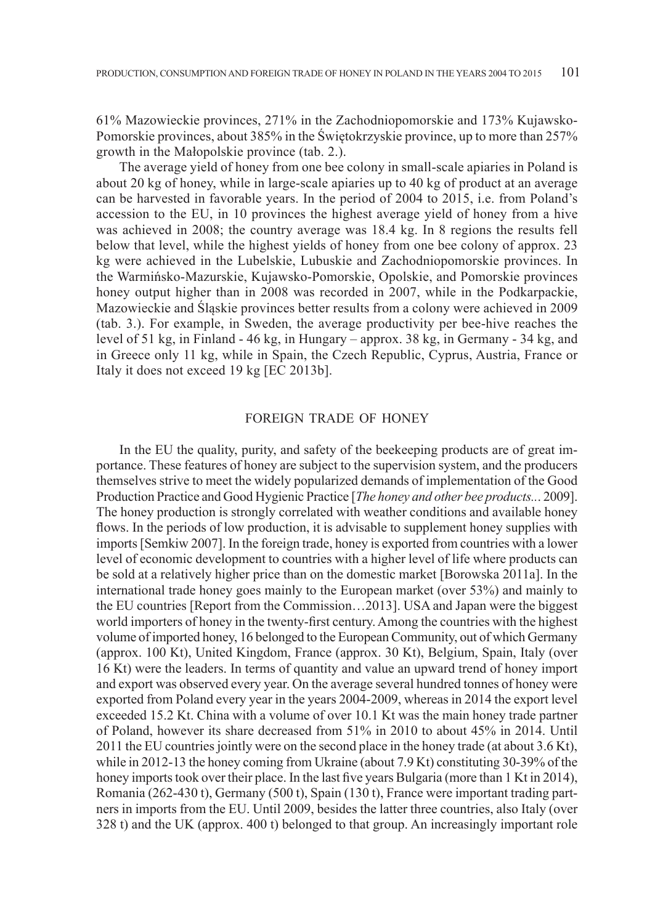61% Mazowieckie provinces, 271% in the Zachodniopomorskie and 173% Kujawsko-Pomorskie provinces, about 385% in the Świętokrzyskie province, up to more than 257% growth in the Małopolskie province (tab. 2.).

The average yield of honey from one bee colony in small-scale apiaries in Poland is about 20 kg of honey, while in large-scale apiaries up to 40 kg of product at an average can be harvested in favorable years. In the period of 2004 to 2015, i.e. from Poland's accession to the EU, in 10 provinces the highest average yield of honey from a hive was achieved in 2008; the country average was 18.4 kg. In 8 regions the results fell below that level, while the highest yields of honey from one bee colony of approx. 23 kg were achieved in the Lubelskie, Lubuskie and Zachodniopomorskie provinces. In the Warmińsko-Mazurskie, Kujawsko-Pomorskie, Opolskie, and Pomorskie provinces honey output higher than in 2008 was recorded in 2007, while in the Podkarpackie, Mazowieckie and Śląskie provinces better results from a colony were achieved in 2009 (tab. 3.). For example, in Sweden, the average productivity per bee-hive reaches the level of 51 kg, in Finland - 46 kg, in Hungary – approx. 38 kg, in Germany - 34 kg, and in Greece only 11 kg, while in Spain, the Czech Republic, Cyprus, Austria, France or Italy it does not exceed 19 kg [EC 2013b].

#### FOREIGN TRADE OF HONEY

In the EU the quality, purity, and safety of the beekeeping products are of great importance. These features of honey are subject to the supervision system, and the producers themselves strive to meet the widely popularized demands of implementation of the Good Production Practice and Good Hygienic Practice [*The honey and other bee products..*. 2009]. The honey production is strongly correlated with weather conditions and available honey flows. In the periods of low production, it is advisable to supplement honey supplies with imports [Semkiw 2007]. In the foreign trade, honey is exported from countries with a lower level of economic development to countries with a higher level of life where products can be sold at a relatively higher price than on the domestic market [Borowska 2011a]. In the international trade honey goes mainly to the European market (over 53%) and mainly to the EU countries [Report from the Commission…2013]. USA and Japan were the biggest world importers of honey in the twenty-first century. Among the countries with the highest volume of imported honey, 16 belonged to the European Community, out of which Germany (approx. 100 Kt), United Kingdom, France (approx. 30 Kt), Belgium, Spain, Italy (over 16 Kt) were the leaders. In terms of quantity and value an upward trend of honey import and export was observed every year. On the average several hundred tonnes of honey were exported from Poland every year in the years 2004-2009, whereas in 2014 the export level exceeded 15.2 Kt. China with a volume of over 10.1 Kt was the main honey trade partner of Poland, however its share decreased from 51% in 2010 to about 45% in 2014. Until 2011 the EU countries jointly were on the second place in the honey trade (at about 3.6 Kt), while in 2012-13 the honey coming from Ukraine (about 7.9 Kt) constituting 30-39% of the honey imports took over their place. In the last five years Bulgaria (more than 1 Kt in 2014), Romania (262-430 t), Germany (500 t), Spain (130 t), France were important trading partners in imports from the EU. Until 2009, besides the latter three countries, also Italy (over 328 t) and the UK (approx. 400 t) belonged to that group. An increasingly important role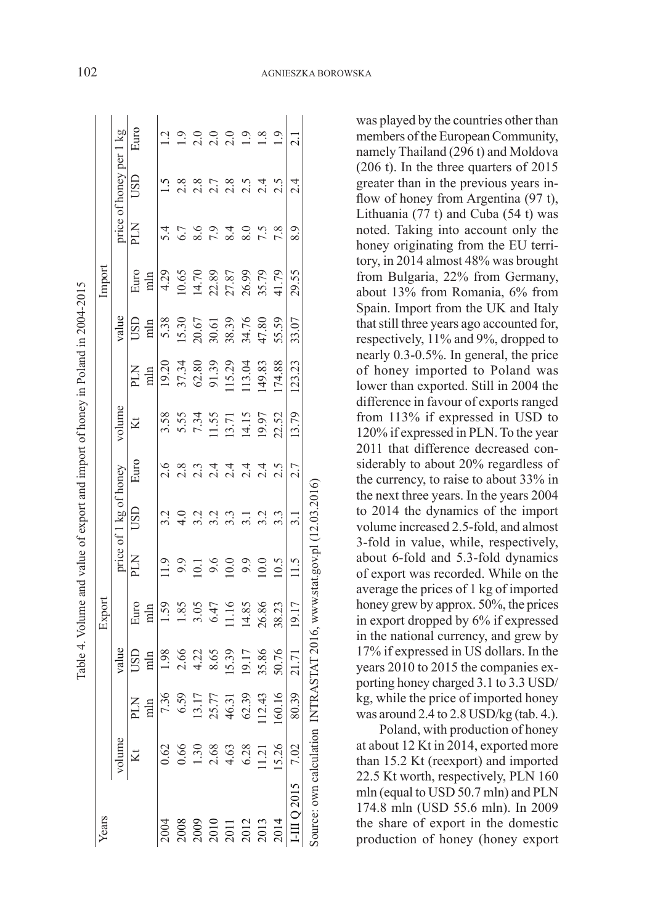|                                                                                                                                                                                                                                                                                                               |        |                                                                                   |                                                                                          | Table 4. Volume and value of export and import of honey in Poland in 2004-2015                                 |     |                        |                                        |                                                                                                            |                                                                                                                                     |                                                            |                                                                                                              |                      |                                |               |
|---------------------------------------------------------------------------------------------------------------------------------------------------------------------------------------------------------------------------------------------------------------------------------------------------------------|--------|-----------------------------------------------------------------------------------|------------------------------------------------------------------------------------------|----------------------------------------------------------------------------------------------------------------|-----|------------------------|----------------------------------------|------------------------------------------------------------------------------------------------------------|-------------------------------------------------------------------------------------------------------------------------------------|------------------------------------------------------------|--------------------------------------------------------------------------------------------------------------|----------------------|--------------------------------|---------------|
| ears                                                                                                                                                                                                                                                                                                          |        |                                                                                   |                                                                                          | Export                                                                                                         |     |                        |                                        |                                                                                                            |                                                                                                                                     |                                                            | Import                                                                                                       |                      |                                |               |
|                                                                                                                                                                                                                                                                                                               | volume |                                                                                   | value                                                                                    |                                                                                                                |     | price of 1 kg of honey |                                        | volume                                                                                                     |                                                                                                                                     | value                                                      |                                                                                                              |                      | price of honey per             |               |
|                                                                                                                                                                                                                                                                                                               |        | <b>NTd</b>                                                                        | GSC                                                                                      | Euro<br>mln                                                                                                    | NTd | USD                    | Euro                                   | Kt                                                                                                         | <b>NTd</b><br>Rue                                                                                                                   | USD                                                        |                                                                                                              | NГс                  | USD                            | Euro          |
|                                                                                                                                                                                                                                                                                                               |        | min                                                                               | min                                                                                      |                                                                                                                |     |                        |                                        |                                                                                                            |                                                                                                                                     | mln                                                        | Euro<br>mln                                                                                                  |                      |                                |               |
| 0.62<br>0.66<br>0.66<br>0.66<br>0.66<br>1.30<br>1.30<br>2.013<br>2.014<br>2.014<br>2.014<br>2.014<br>2.014<br>2.014                                                                                                                                                                                           |        | 7.36                                                                              |                                                                                          |                                                                                                                |     |                        |                                        |                                                                                                            |                                                                                                                                     |                                                            |                                                                                                              |                      |                                |               |
|                                                                                                                                                                                                                                                                                                               |        |                                                                                   |                                                                                          |                                                                                                                |     |                        |                                        |                                                                                                            |                                                                                                                                     |                                                            |                                                                                                              |                      |                                |               |
|                                                                                                                                                                                                                                                                                                               |        |                                                                                   |                                                                                          |                                                                                                                |     |                        |                                        |                                                                                                            |                                                                                                                                     |                                                            |                                                                                                              |                      |                                |               |
|                                                                                                                                                                                                                                                                                                               |        |                                                                                   |                                                                                          |                                                                                                                |     |                        |                                        |                                                                                                            |                                                                                                                                     |                                                            |                                                                                                              |                      |                                |               |
|                                                                                                                                                                                                                                                                                                               |        |                                                                                   |                                                                                          |                                                                                                                |     |                        |                                        |                                                                                                            |                                                                                                                                     |                                                            |                                                                                                              |                      |                                |               |
| $\begin{array}{r} 2008 \\ 2009 \\ 2010 \\ 2011 \\ 2013 \\ 2013 \\ 2014 \\ 2014 \\ 2014 \\ 2014 \\ 2014 \\ 2014 \\ 2014 \\ 2014 \\ 2014 \\ 2014 \\ 2014 \\ 2014 \\ 2014 \\ 2014 \\ 2014 \\ 2014 \\ 2015 \\ 2018 \\ 2019 \\ 2019 \\ 2019 \\ 2019 \\ 2019 \\ 2019 \\ 2019 \\ 2019 \\ 2019 \\ 2019 \\ 2019 \\ 20$ |        | $\begin{array}{c} 6.59 \\ 13.17 \\ 25.77 \\ 46.31 \\ 62.39 \\ 112.43 \end{array}$ | $\begin{array}{c}\n1.98 \\ 2.66 \\ 4.22 \\ 8.65 \\ 19.17 \\ 35.86 \\ 50.76\n\end{array}$ | $\begin{array}{c} 1.59 \\ 1.85 \\ 1.85 \\ 3.05 \\ 4.7 \\ 6.47 \\ 11.16 \\ 26.88 \\ 28.23 \\ 19.17 \end{array}$ |     |                        | o ∞ ๓ ヰ ヰ ヰ ヰ S<br>೧ ೧ ೧ ೧ ೧ ೧ ೧ ೧ ೧ ೧ | $\begin{array}{c} 3.58 \\ 5.55 \\ 7.34 \\ 11.51 \\ 13.71 \\ 14.15 \\ 20.52 \\ 13.79 \\ \hline \end{array}$ | $\begin{array}{l} 19.20 \\ 37.34 \\ 62.89 \\ 91.39 \\ 115.29 \\ 119.83 \\ 149.88 \\ 114.8 \\ 114.8 \\ 114.8 \\ 1123.23 \end{array}$ | 5.38<br>15.30<br>20.67<br>20.67<br>30.58<br>30.07<br>31.07 | $\begin{array}{c} 4.29 \\ 10.65 \\ 14.70 \\ 21.89 \\ 21.87 \\ 26.99 \\ 35.79 \\ 41.79 \\ \hline \end{array}$ | とうとうしょうこと イアる しょうしょう | a a r a n t n<br>d d d d d d d | $2000000000$  |
|                                                                                                                                                                                                                                                                                                               |        |                                                                                   |                                                                                          |                                                                                                                |     |                        |                                        |                                                                                                            |                                                                                                                                     |                                                            |                                                                                                              |                      |                                |               |
|                                                                                                                                                                                                                                                                                                               |        | 160.16                                                                            |                                                                                          |                                                                                                                |     |                        |                                        |                                                                                                            |                                                                                                                                     |                                                            |                                                                                                              |                      |                                |               |
|                                                                                                                                                                                                                                                                                                               |        | 80.39                                                                             | $\frac{1}{21.71}$                                                                        |                                                                                                                |     | 3.1                    | 2.7                                    |                                                                                                            |                                                                                                                                     |                                                            | 29.55                                                                                                        | 8.9                  | 2.4                            | $\frac{1}{2}$ |

members of the European Community, namely Thailand (296 t) and Moldova (206 t). In the three quarters of 2015 greater than in the previous years inflow of honey from Argentina (97 t), Lithuania (77 t) and Cuba (54 t) was noted. Taking into account only the honey originating from the EU territory, in 2014 almost 48% was brought from Bulgaria, 22% from Germany, about 13% from Romania, 6% from Spain. Import from the UK and Italy that still three years ago accounted for, respectively, 11% and 9%, dropped to nearly 0.3-0.5%. In general, the price of honey imported to Poland was lower than exported. Still in 2004 the difference in favour of exports ranged from 113% if expressed in USD to 120% if expressed in PLN. To the year 2011 that difference decreased considerably to about 20% regardless of the currency, to raise to about 33% in the next three years. In the years 2004 to 2014 the dynamics of the import volume increased 2.5-fold, and almost 3-fold in value, while, respectively, about 6-fold and 5.3-fold dynamics of export was recorded. While on the average the prices of 1 kg of imported honey grew by approx. 50%, the prices in export dropped by 6% if expressed in the national currency, and grew by 17% if expressed in US dollars. In the years 2010 to 2015 the companies exporting honey charged 3.1 to 3.3 USD/ kg, while the price of imported honey was around 2.4 to 2.8 USD/kg (tab. 4.).

was played by the countries other than

Poland, with production of honey at about 12 Kt in 2014, exported more than 15.2 Kt (reexport) and imported 22.5 Kt worth, respectively, PLN 160 mln (equal to USD 50.7 mln) and PLN 174.8 mln (USD 55.6 mln). In 2009 the share of export in the domestic production of honey (honey export

I-III Q 2015 7.02 80.39 21.71 19.17 11.5 3.1 2.7 13.79 123.23 33.07 29.55 8.9 2.4 2.1

Source: own calculation INTRASTAT 2016, www.stat.gov.pl (12.03.2016)

Source: own calculation INTRASTAT 2016, www.stat.gov.pl (12.03.2016)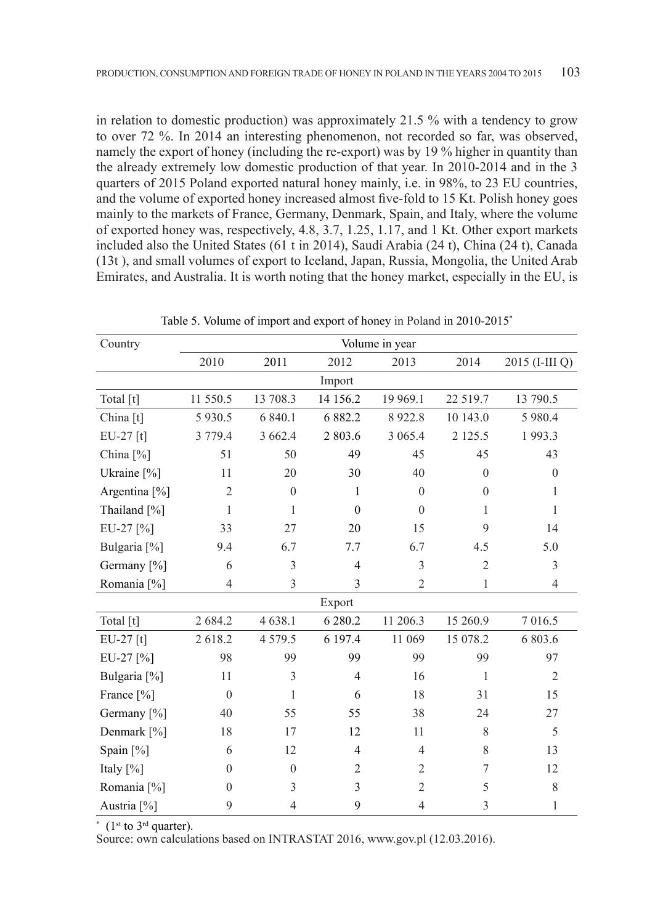in relation to domestic production) was approximately 21.5 % with a tendency to grow to over 72 %. In 2014 an interesting phenomenon, not recorded so far, was observed, namely the export of honey (including the re-export) was by 19 % higher in quantity than the already extremely low domestic production of that year. In 2010-2014 and in the 3 quarters of 2015 Poland exported natural honey mainly, i.e. in 98%, to 23 EU countries, and the volume of exported honey increased almost five-fold to 15 Kt. Polish honey goes mainly to the markets of France, Germany, Denmark, Spain, and Italy, where the volume of exported honey was, respectively, 4.8, 3.7, 1.25, 1.17, and 1 Kt. Other export markets included also the United States (61 t in 2014), Saudi Arabia (24 t), China (24 t), Canada (13t ), and small volumes of export to Iceland, Japan, Russia, Mongolia, the United Arab Emirates, and Australia. It is worth noting that the honey market, especially in the EU, is

| Country                 |                |                |                | Volume in year |                  |                |
|-------------------------|----------------|----------------|----------------|----------------|------------------|----------------|
|                         | 2010           | 2011           | 2012           | 2013           | 2014             | 2015 (I-III Q) |
|                         |                |                | Import         |                |                  |                |
| Total [t]               | 11 550.5       | 13 708.3       | 14 15 6.2      | 19 969.1       | 22 519.7         | 13 790.5       |
| China [t]               | 5 9 3 0.5      | 6 840.1        | 6 8 8 2.2      | 8922.8         | 10 143.0         | 5 980.4        |
| EU-27 [t]               | 3 779.4        | 3 6 6 2.4      | 2803.6         | 3 0 6 5 .4     | 2 1 2 5 .5       | 1993.3         |
| China $[\%]$            | 51             | 50             | 49             | 45             | 45               | 43             |
| Ukraine [%]             | 11             | 20             | 30             | 40             | $\overline{0}$   | $\mathbf{0}$   |
| Argentina [%]           | $\overline{2}$ | $\theta$       | $\mathbf{1}$   | $\theta$       | $\mathbf{0}$     | $\mathbf{1}$   |
| Thailand [%]            | 1              | 1              | $\theta$       | $\theta$       | 1                | 1              |
| EU-27 [%]               | 33             | 27             | 20             | 15             | 9                | 14             |
| Bulgaria <sup>[%]</sup> | 9.4            | 6.7            | 7.7            | 6.7            | 4.5              | 5.0            |
| Germany [%]             | 6              | $\overline{3}$ | $\overline{4}$ | 3              | $\overline{2}$   | 3              |
| Romania [%]             | $\overline{4}$ | $\mathfrak{Z}$ | 3              | $\mathfrak{2}$ | $\mathbf{1}$     | $\overline{4}$ |
|                         |                |                | Export         |                |                  |                |
| Total [t]               | 2 684.2        | 4 6 38.1       | 6 2 8 0.2      | 11 206.3       | 15 260.9         | 7 016.5        |
| EU-27 [t]               | 2618.2         | 4 5 7 9 . 5    | 6 197.4        | 11 069         | 15 078.2         | 6 803.6        |
| EU-27 [%]               | 98             | 99             | 99             | 99             | 99               | 97             |
| Bulgaria <sup>[%]</sup> | 11             | 3              | $\overline{4}$ | 16             | $\mathbf{1}$     | $\overline{2}$ |
| France [%]              | $\theta$       | $\mathbf{1}$   | 6              | 18             | 31               | 15             |
| Germany [%]             | 40             | 55             | 55             | 38             | 24               | 27             |
| Denmark [%]             | 18             | 17             | 12             | 11             | 8                | 5              |
| Spain [%]               | 6              | 12             | $\overline{4}$ | $\overline{4}$ | 8                | 13             |
| Italy $[\%]$            | $\theta$       | $\theta$       | $\mathfrak{2}$ | $\overline{2}$ | $\boldsymbol{7}$ | 12             |
| Romania <sup>[%]</sup>  | $\theta$       | $\mathfrak{Z}$ | $\mathfrak{Z}$ | $\mathfrak{2}$ | 5                | $\,$ 8 $\,$    |
| Austria <sup>[%]</sup>  | 9              | $\overline{4}$ | 9              | $\overline{4}$ | 3                | 1              |

Table 5. Volume of import and export of honey in Poland in 2010-2015\*

 $*$  (1<sup>st</sup> to 3<sup>rd</sup> quarter).

Source: own calculations based on INTRASTAT 2016, www.gov.pl (12.03.2016).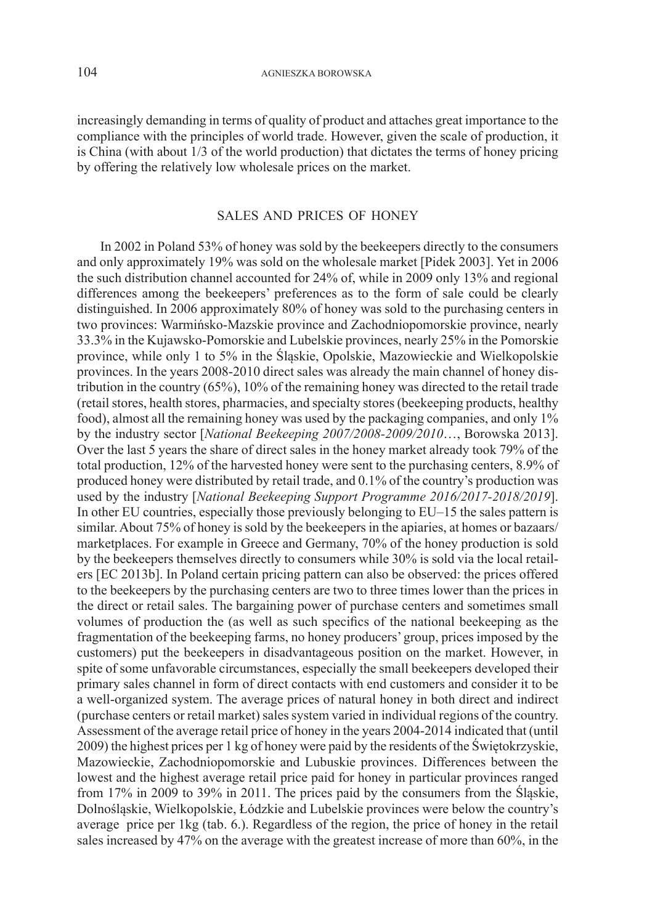increasingly demanding in terms of quality of product and attaches great importance to the compliance with the principles of world trade. However, given the scale of production, it is China (with about 1/3 of the world production) that dictates the terms of honey pricing by offering the relatively low wholesale prices on the market.

### SALES AND PRICES OF HONEY

In 2002 in Poland 53% of honey was sold by the beekeepers directly to the consumers and only approximately 19% was sold on the wholesale market [Pidek 2003]. Yet in 2006 the such distribution channel accounted for 24% of, while in 2009 only 13% and regional differences among the beekeepers' preferences as to the form of sale could be clearly distinguished. In 2006 approximately 80% of honey was sold to the purchasing centers in two provinces: Warmińsko-Mazskie province and Zachodniopomorskie province, nearly 33.3% in the Kujawsko-Pomorskie and Lubelskie provinces, nearly 25% in the Pomorskie province, while only 1 to 5% in the Śląskie, Opolskie, Mazowieckie and Wielkopolskie provinces. In the years 2008-2010 direct sales was already the main channel of honey distribution in the country (65%), 10% of the remaining honey was directed to the retail trade (retail stores, health stores, pharmacies, and specialty stores (beekeeping products, healthy food), almost all the remaining honey was used by the packaging companies, and only 1% by the industry sector [*National Beekeeping 2007/2008-2009/2010*…, Borowska 2013]. Over the last 5 years the share of direct sales in the honey market already took 79% of the total production, 12% of the harvested honey were sent to the purchasing centers, 8.9% of produced honey were distributed by retail trade, and 0.1% of the country's production was used by the industry [*National Beekeeping Support Programme 2016/2017-2018/2019*]. In other EU countries, especially those previously belonging to EU–15 the sales pattern is similar. About 75% of honey is sold by the beekeepers in the apiaries, at homes or bazaars/ marketplaces. For example in Greece and Germany, 70% of the honey production is sold by the beekeepers themselves directly to consumers while 30% is sold via the local retailers [EC 2013b]. In Poland certain pricing pattern can also be observed: the prices offered to the beekeepers by the purchasing centers are two to three times lower than the prices in the direct or retail sales. The bargaining power of purchase centers and sometimes small volumes of production the (as well as such specifics of the national beekeeping as the fragmentation of the beekeeping farms, no honey producers' group, prices imposed by the customers) put the beekeepers in disadvantageous position on the market. However, in spite of some unfavorable circumstances, especially the small beekeepers developed their primary sales channel in form of direct contacts with end customers and consider it to be a well-organized system. The average prices of natural honey in both direct and indirect (purchase centers or retail market) sales system varied in individual regions of the country. Assessment of the average retail price of honey in the years 2004-2014 indicated that (until 2009) the highest prices per 1 kg of honey were paid by the residents of the Świętokrzyskie, Mazowieckie, Zachodniopomorskie and Lubuskie provinces. Differences between the lowest and the highest average retail price paid for honey in particular provinces ranged from 17% in 2009 to 39% in 2011. The prices paid by the consumers from the Śląskie, Dolnośląskie, Wielkopolskie, Łódzkie and Lubelskie provinces were below the country's average price per 1kg (tab. 6.). Regardless of the region, the price of honey in the retail sales increased by 47% on the average with the greatest increase of more than 60%, in the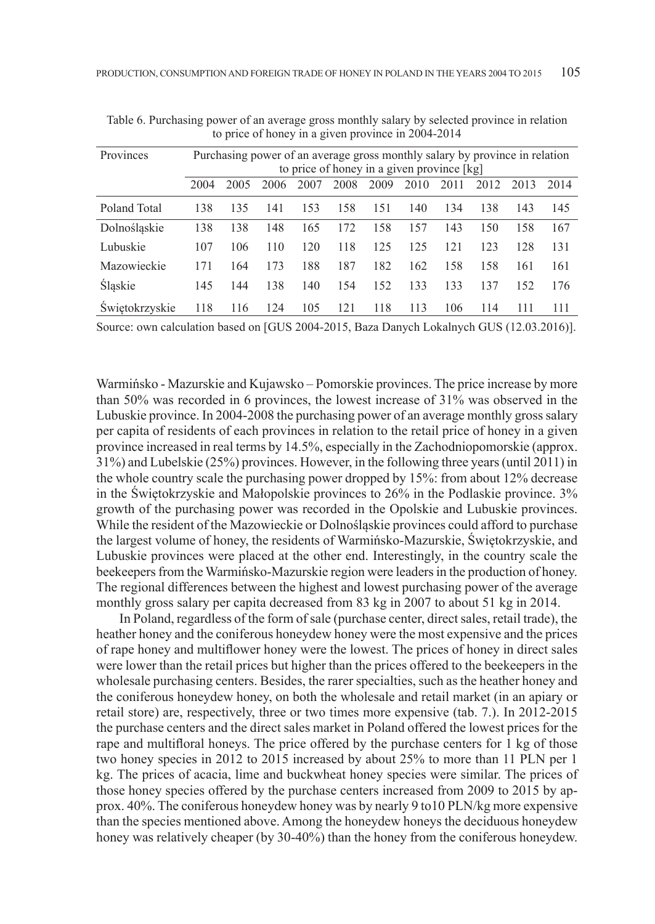| Provinces      |      | Purchasing power of an average gross monthly salary by province in relation |      |      |      | to price of honey in a given province [kg] |      |      |      |      |      |
|----------------|------|-----------------------------------------------------------------------------|------|------|------|--------------------------------------------|------|------|------|------|------|
|                | 2004 | 2005                                                                        | 2006 | 2007 | 2008 | 2009                                       | 2010 | 2011 | 2012 | 2013 | 2014 |
| Poland Total   | 138  | 135                                                                         | 141  | 153  | 158  | 151                                        | 140  | 134  | 138  | 143  | 145  |
| Dolnoślaskie   | 138  | 138                                                                         | 148  | 165  | 172  | 158                                        | 157  | 143  | 150  | 158  | 167  |
| Lubuskie       | 107  | 106                                                                         | 110  | 120  | 118  | 125                                        | 125  | 121  | 123  | 128  | 131  |
| Mazowieckie    | 171  | 164                                                                         | 173  | 188  | 187  | 182                                        | 162  | 158  | 158  | 161  | 161  |
| Slaskie        | 145  | 144                                                                         | 138  | 140  | 154  | 152                                        | 133  | 133  | 137  | 152  | 176  |
| Swietokrzyskie | 118  | 116                                                                         | 124  | 105  | 121  | 118                                        | 113  | 106  | 114  | 111  | 111  |

Table 6. Purchasing power of an average gross monthly salary by selected province in relation to price of honey in a given province in 2004-2014

Source: own calculation based on [GUS 2004-2015, Baza Danych Lokalnych GUS (12.03.2016)].

Warmińsko - Mazurskie and Kujawsko – Pomorskie provinces. The price increase by more than 50% was recorded in 6 provinces, the lowest increase of 31% was observed in the Lubuskie province. In 2004-2008 the purchasing power of an average monthly gross salary per capita of residents of each provinces in relation to the retail price of honey in a given province increased in real terms by 14.5%, especially in the Zachodniopomorskie (approx. 31%) and Lubelskie (25%) provinces. However, in the following three years (until 2011) in the whole country scale the purchasing power dropped by 15%: from about 12% decrease in the Świętokrzyskie and Małopolskie provinces to 26% in the Podlaskie province. 3% growth of the purchasing power was recorded in the Opolskie and Lubuskie provinces. While the resident of the Mazowieckie or Dolnośląskie provinces could afford to purchase the largest volume of honey, the residents of Warmińsko-Mazurskie, Świętokrzyskie, and Lubuskie provinces were placed at the other end. Interestingly, in the country scale the beekeepers from the Warmińsko-Mazurskie region were leaders in the production of honey. The regional differences between the highest and lowest purchasing power of the average monthly gross salary per capita decreased from 83 kg in 2007 to about 51 kg in 2014.

In Poland, regardless of the form of sale (purchase center, direct sales, retail trade), the heather honey and the coniferous honeydew honey were the most expensive and the prices of rape honey and multiflower honey were the lowest. The prices of honey in direct sales were lower than the retail prices but higher than the prices offered to the beekeepers in the wholesale purchasing centers. Besides, the rarer specialties, such as the heather honey and the coniferous honeydew honey, on both the wholesale and retail market (in an apiary or retail store) are, respectively, three or two times more expensive (tab. 7.). In 2012-2015 the purchase centers and the direct sales market in Poland offered the lowest prices for the rape and multifloral honeys. The price offered by the purchase centers for 1 kg of those two honey species in 2012 to 2015 increased by about 25% to more than 11 PLN per 1 kg. The prices of acacia, lime and buckwheat honey species were similar. The prices of those honey species offered by the purchase centers increased from 2009 to 2015 by approx. 40%. The coniferous honeydew honey was by nearly 9 to10 PLN/kg more expensive than the species mentioned above. Among the honeydew honeys the deciduous honeydew honey was relatively cheaper (by 30-40%) than the honey from the coniferous honeydew.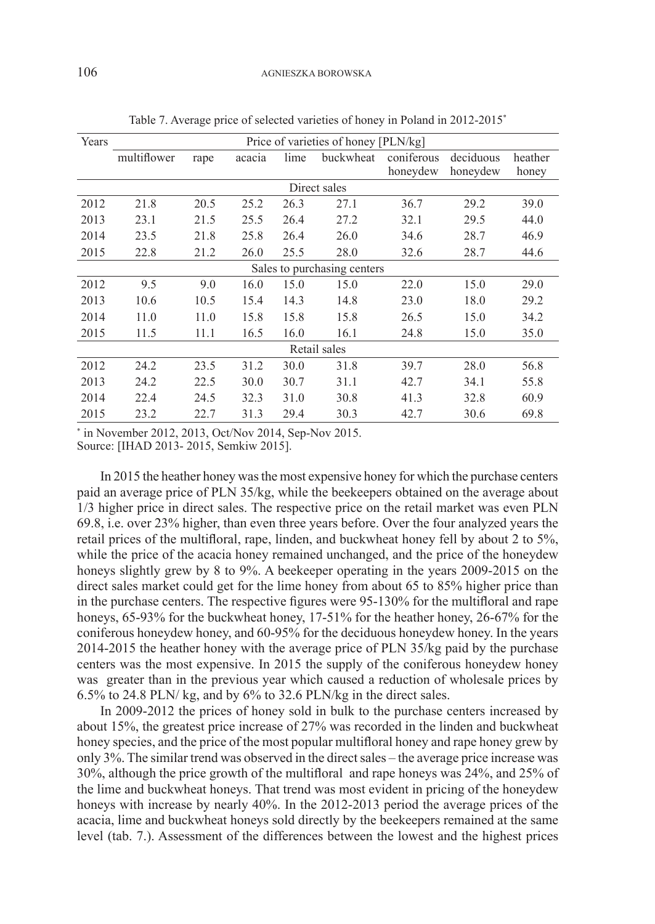| Years |             |      |        |      | Price of varieties of honey [PLN/kg] |                        |                       |                  |
|-------|-------------|------|--------|------|--------------------------------------|------------------------|-----------------------|------------------|
|       | multiflower | rape | acacia | lime | buckwheat                            | coniferous<br>honeydew | deciduous<br>honeydew | heather<br>honey |
|       |             |      |        |      | Direct sales                         |                        |                       |                  |
| 2012  | 21.8        | 20.5 | 25.2   | 26.3 | 27.1                                 | 36.7                   | 29.2                  | 39.0             |
| 2013  | 23.1        | 21.5 | 25.5   | 26.4 | 27.2                                 | 32.1                   | 29.5                  | 44.0             |
| 2014  | 23.5        | 21.8 | 25.8   | 26.4 | 26.0                                 | 34.6                   | 28.7                  | 46.9             |
| 2015  | 22.8        | 21.2 | 26.0   | 25.5 | 28.0                                 | 32.6                   | 28.7                  | 44.6             |
|       |             |      |        |      | Sales to purchasing centers          |                        |                       |                  |
| 2012  | 9.5         | 9.0  | 16.0   | 15.0 | 15.0                                 | 22.0                   | 15.0                  | 29.0             |
| 2013  | 10.6        | 10.5 | 15.4   | 14.3 | 14.8                                 | 23.0                   | 18.0                  | 29.2             |
| 2014  | 11.0        | 11.0 | 15.8   | 15.8 | 15.8                                 | 26.5                   | 15.0                  | 34.2             |
| 2015  | 11.5        | 11.1 | 16.5   | 16.0 | 16.1                                 | 24.8                   | 15.0                  | 35.0             |
|       |             |      |        |      | Retail sales                         |                        |                       |                  |
| 2012  | 24.2        | 23.5 | 31.2   | 30.0 | 31.8                                 | 39.7                   | 28.0                  | 56.8             |
| 2013  | 24.2        | 22.5 | 30.0   | 30.7 | 31.1                                 | 42.7                   | 34.1                  | 55.8             |
| 2014  | 22.4        | 24.5 | 32.3   | 31.0 | 30.8                                 | 41.3                   | 32.8                  | 60.9             |
| 2015  | 23.2        | 22.7 | 31.3   | 29.4 | 30.3                                 | 42.7                   | 30.6                  | 69.8             |

Table 7. Average price of selected varieties of honey in Poland in 2012-2015\*

\* in November 2012, 2013, Oct/Nov 2014, Sep-Nov 2015.

Source: [IHAD 2013- 2015, Semkiw 2015].

In 2015 the heather honey was the most expensive honey for which the purchase centers paid an average price of PLN 35/kg, while the beekeepers obtained on the average about 1/3 higher price in direct sales. The respective price on the retail market was even PLN 69.8, i.e. over 23% higher, than even three years before. Over the four analyzed years the retail prices of the multifloral, rape, linden, and buckwheat honey fell by about 2 to 5%, while the price of the acacia honey remained unchanged, and the price of the honeydew honeys slightly grew by 8 to 9%. A beekeeper operating in the years 2009-2015 on the direct sales market could get for the lime honey from about 65 to 85% higher price than in the purchase centers. The respective figures were 95-130% for the multifloral and rape honeys, 65-93% for the buckwheat honey, 17-51% for the heather honey, 26-67% for the coniferous honeydew honey, and 60-95% for the deciduous honeydew honey. In the years 2014-2015 the heather honey with the average price of PLN 35/kg paid by the purchase centers was the most expensive. In 2015 the supply of the coniferous honeydew honey was greater than in the previous year which caused a reduction of wholesale prices by 6.5% to 24.8 PLN/ kg, and by 6% to 32.6 PLN/kg in the direct sales.

In 2009-2012 the prices of honey sold in bulk to the purchase centers increased by about 15%, the greatest price increase of 27% was recorded in the linden and buckwheat honey species, and the price of the most popular multifloral honey and rape honey grew by only 3%. The similar trend was observed in the direct sales – the average price increase was 30%, although the price growth of the multifloral and rape honeys was 24%, and 25% of the lime and buckwheat honeys. That trend was most evident in pricing of the honeydew honeys with increase by nearly 40%. In the 2012-2013 period the average prices of the acacia, lime and buckwheat honeys sold directly by the beekeepers remained at the same level (tab. 7.). Assessment of the differences between the lowest and the highest prices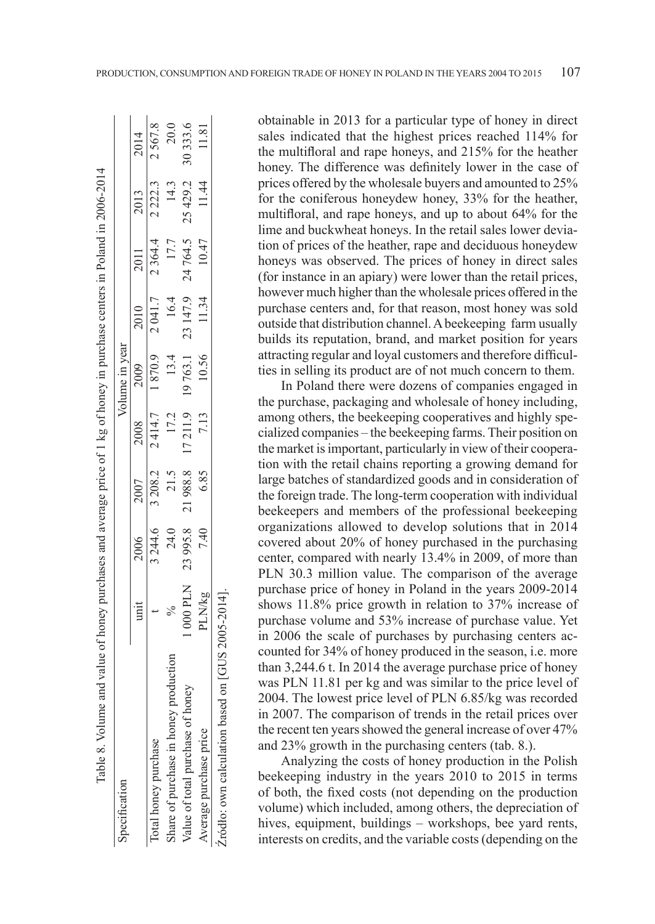| Table 8. Volume and value of honey purchases and average price of 1 kg of honey in purchase centers in Poland in 2006-2014 |               |          |         |         |                |          |          |           |          |
|----------------------------------------------------------------------------------------------------------------------------|---------------|----------|---------|---------|----------------|----------|----------|-----------|----------|
| Specification                                                                                                              |               |          |         |         | Volume in year |          |          |           |          |
|                                                                                                                            | unit          | 2006     | 2007    | 2008    | 2009           | 2010     | 2011     | 2013      | 2014     |
| iotal honey purchase                                                                                                       |               | 3 244.6  | 3 208.2 |         | 2414.7 1870.9  | 2041.7   | 2 364.4  | 2 2 2 2 3 | 2567.8   |
| hare of purchase in honey production                                                                                       | $\frac{5}{6}$ | 24.0     | 21.5    | 17.2    | 13.4           | 16.4     | 17.7     | 14.3      | 20.0     |
| Value of total purchase of honey                                                                                           | 000 PLN       | 23 995.8 | 21988.8 | 17211.9 | 19763.1        | 23 147.9 | 24 764.5 | 25 4 29.2 | 30 333.6 |
| werage purchase price                                                                                                      | <b>PLN/kg</b> | 7.40     | 6.85    | 7.13    | 10.56          | 11.34    | 10.47    | 11.44     | 11.81    |
| Zródło: own calculation based on [GUS 2005-2014]                                                                           |               |          |         |         |                |          |          |           |          |

obtainable in 2013 for a particular type of honey in direct sales indicated that the highest prices reached 114% for the multifloral and rape honeys, and 215% for the heather honey. The difference was definitely lower in the case of prices offered by the wholesale buyers and amounted to 25% for the coniferous honeydew honey, 33% for the heather, multifloral, and rape honeys, and up to about 64% for the lime and buckwheat honeys. In the retail sales lower deviation of prices of the heather, rape and deciduous honeydew honeys was observed. The prices of honey in direct sales (for instance in an apiary) were lower than the retail prices, however much higher than the wholesale prices offered in the purchase centers and, for that reason, most honey was sold outside that distribution channel. A beekeeping farm usually builds its reputation, brand, and market position for years attracting regular and loyal customers and therefore difficulties in selling its product are of not much concern to them.

In Poland there were dozens of companies engaged in the purchase, packaging and wholesale of honey including, among others, the beekeeping cooperatives and highly specialized companies – the beekeeping farms. Their position on the market is important, particularly in view of their cooperation with the retail chains reporting a growing demand for large batches of standardized goods and in consideration of the foreign trade. The long-term cooperation with individual beekeepers and members of the professional beekeeping organizations allowed to develop solutions that in 2014 covered about 20% of honey purchased in the purchasing center, compared with nearly 13.4% in 2009, of more than PLN 30.3 million value. The comparison of the average purchase price of honey in Poland in the years 2009-2014 shows 11.8% price growth in relation to 37% increase of purchase volume and 53% increase of purchase value. Yet in 2006 the scale of purchases by purchasing centers accounted for 34% of honey produced in the season, i.e. more than 3,244.6 t. In 2014 the average purchase price of honey was PLN 11.81 per kg and was similar to the price level of 2004. The lowest price level of PLN 6.85/kg was recorded in 2007. The comparison of trends in the retail prices over the recent ten years showed the general increase of over 47% and 23% growth in the purchasing centers (tab. 8.).

Analyzing the costs of honey production in the Polish beekeeping industry in the years 2010 to 2015 in terms of both, the fixed costs (not depending on the production volume) which included, among others, the depreciation of hives, equipment, buildings – workshops, bee yard rents, interests on credits, and the variable costs (depending on the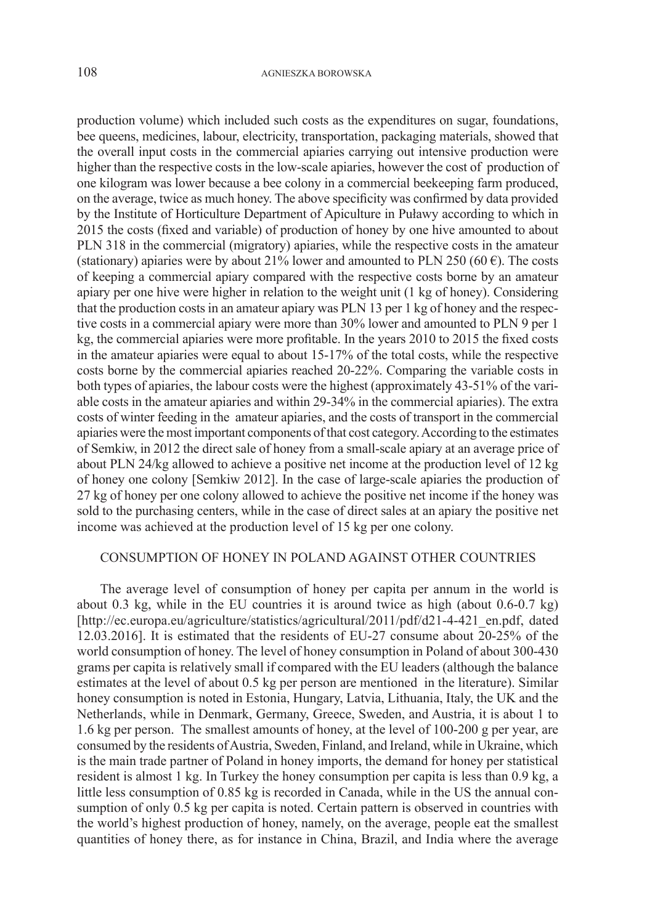production volume) which included such costs as the expenditures on sugar, foundations, bee queens, medicines, labour, electricity, transportation, packaging materials, showed that the overall input costs in the commercial apiaries carrying out intensive production were higher than the respective costs in the low-scale apiaries, however the cost of production of one kilogram was lower because a bee colony in a commercial beekeeping farm produced, on the average, twice as much honey. The above specificity was confirmed by data provided by the Institute of Horticulture Department of Apiculture in Puławy according to which in 2015 the costs (fixed and variable) of production of honey by one hive amounted to about PLN 318 in the commercial (migratory) apiaries, while the respective costs in the amateur (stationary) apiaries were by about 21% lower and amounted to PLN 250 (60 $\epsilon$ ). The costs of keeping a commercial apiary compared with the respective costs borne by an amateur apiary per one hive were higher in relation to the weight unit (1 kg of honey). Considering that the production costs in an amateur apiary was PLN 13 per 1 kg of honey and the respective costs in a commercial apiary were more than 30% lower and amounted to PLN 9 per 1 kg, the commercial apiaries were more profitable. In the years 2010 to 2015 the fixed costs in the amateur apiaries were equal to about 15-17% of the total costs, while the respective costs borne by the commercial apiaries reached 20-22%. Comparing the variable costs in both types of apiaries, the labour costs were the highest (approximately 43-51% of the variable costs in the amateur apiaries and within 29-34% in the commercial apiaries). The extra costs of winter feeding in the amateur apiaries, and the costs of transport in the commercial apiaries were the most important components of that cost category. According to the estimates of Semkiw, in 2012 the direct sale of honey from a small-scale apiary at an average price of about PLN 24/kg allowed to achieve a positive net income at the production level of 12 kg of honey one colony [Semkiw 2012]. In the case of large-scale apiaries the production of 27 kg of honey per one colony allowed to achieve the positive net income if the honey was sold to the purchasing centers, while in the case of direct sales at an apiary the positive net income was achieved at the production level of 15 kg per one colony.

## CONSUMPTION OF HONEY IN POLAND AGAINST OTHER COUNTRIES

The average level of consumption of honey per capita per annum in the world is about 0.3 kg, while in the EU countries it is around twice as high (about 0.6-0.7 kg) [http://ec.europa.eu/agriculture/statistics/agricultural/2011/pdf/d21-4-421\_en.pdf, dated 12.03.2016]. It is estimated that the residents of EU-27 consume about 20-25% of the world consumption of honey. The level of honey consumption in Poland of about 300-430 grams per capita is relatively small if compared with the EU leaders (although the balance estimates at the level of about 0.5 kg per person are mentioned in the literature). Similar honey consumption is noted in Estonia, Hungary, Latvia, Lithuania, Italy, the UK and the Netherlands, while in Denmark, Germany, Greece, Sweden, and Austria, it is about 1 to 1.6 kg per person. The smallest amounts of honey, at the level of 100-200 g per year, are consumed by the residents of Austria, Sweden, Finland, and Ireland, while in Ukraine, which is the main trade partner of Poland in honey imports, the demand for honey per statistical resident is almost 1 kg. In Turkey the honey consumption per capita is less than 0.9 kg, a little less consumption of 0.85 kg is recorded in Canada, while in the US the annual consumption of only 0.5 kg per capita is noted. Certain pattern is observed in countries with the world's highest production of honey, namely, on the average, people eat the smallest quantities of honey there, as for instance in China, Brazil, and India where the average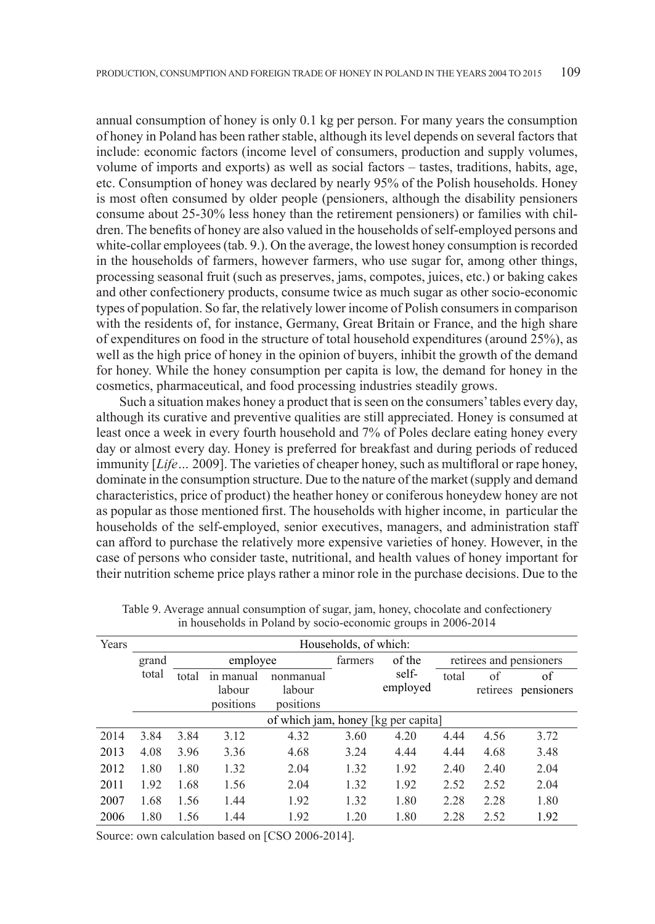annual consumption of honey is only 0.1 kg per person. For many years the consumption of honey in Poland has been rather stable, although its level depends on several factors that include: economic factors (income level of consumers, production and supply volumes, volume of imports and exports) as well as social factors – tastes, traditions, habits, age, etc. Consumption of honey was declared by nearly 95% of the Polish households. Honey is most often consumed by older people (pensioners, although the disability pensioners consume about 25-30% less honey than the retirement pensioners) or families with children. The benefits of honey are also valued in the households of self-employed persons and white-collar employees (tab. 9.). On the average, the lowest honey consumption is recorded in the households of farmers, however farmers, who use sugar for, among other things, processing seasonal fruit (such as preserves, jams, compotes, juices, etc.) or baking cakes and other confectionery products, consume twice as much sugar as other socio-economic types of population. So far, the relatively lower income of Polish consumers in comparison with the residents of, for instance, Germany, Great Britain or France, and the high share of expenditures on food in the structure of total household expenditures (around 25%), as well as the high price of honey in the opinion of buyers, inhibit the growth of the demand for honey. While the honey consumption per capita is low, the demand for honey in the cosmetics, pharmaceutical, and food processing industries steadily grows.

Such a situation makes honey a product that is seen on the consumers' tables every day, although its curative and preventive qualities are still appreciated. Honey is consumed at least once a week in every fourth household and 7% of Poles declare eating honey every day or almost every day. Honey is preferred for breakfast and during periods of reduced immunity [*Life…* 2009]. The varieties of cheaper honey, such as multifloral or rape honey, dominate in the consumption structure. Due to the nature of the market (supply and demand characteristics, price of product) the heather honey or coniferous honeydew honey are not as popular as those mentioned first. The households with higher income, in particular the households of the self-employed, senior executives, managers, and administration staff can afford to purchase the relatively more expensive varieties of honey. However, in the case of persons who consider taste, nutritional, and health values of honey important for their nutrition scheme price plays rather a minor role in the purchase decisions. Due to the

| Years |       |       |                                  |                                     | Households, of which: |                   |       |                |                         |
|-------|-------|-------|----------------------------------|-------------------------------------|-----------------------|-------------------|-------|----------------|-------------------------|
|       | grand |       | employee                         |                                     | farmers               | of the            |       |                | retirees and pensioners |
|       | total | total | in manual<br>labour<br>positions | nonmanual<br>labour<br>positions    |                       | self-<br>employed | total | of<br>retirees | of<br>pensioners        |
|       |       |       |                                  | of which jam, honey [kg per capita] |                       |                   |       |                |                         |
| 2014  | 3.84  | 3.84  | 3.12                             | 4.32                                | 3.60                  | 4.20              | 4.44  | 4.56           | 3.72                    |
| 2013  | 4.08  | 3.96  | 3.36                             | 4.68                                | 3.24                  | 4.44              | 4.44  | 4.68           | 3.48                    |
| 2012  | 1.80  | 1.80  | 1.32                             | 2.04                                | 1.32                  | 1.92              | 2.40  | 2.40           | 2.04                    |
| 2011  | 1.92  | 1.68  | 1.56                             | 2.04                                | 1.32                  | 1.92              | 2.52  | 2.52           | 2.04                    |
| 2007  | 1.68  | 1.56  | 1.44                             | 1.92                                | 1.32                  | 1.80              | 2.28  | 2.28           | 1.80                    |
| 2006  | 1.80  | 1.56  | 1.44                             | 1.92                                | 1.20                  | 1.80              | 2.28  | 2.52           | 1.92                    |

Table 9. Average annual consumption of sugar, jam, honey, chocolate and confectionery in households in Poland by socio-economic groups in 2006-2014

Source: own calculation based on [CSO 2006-2014].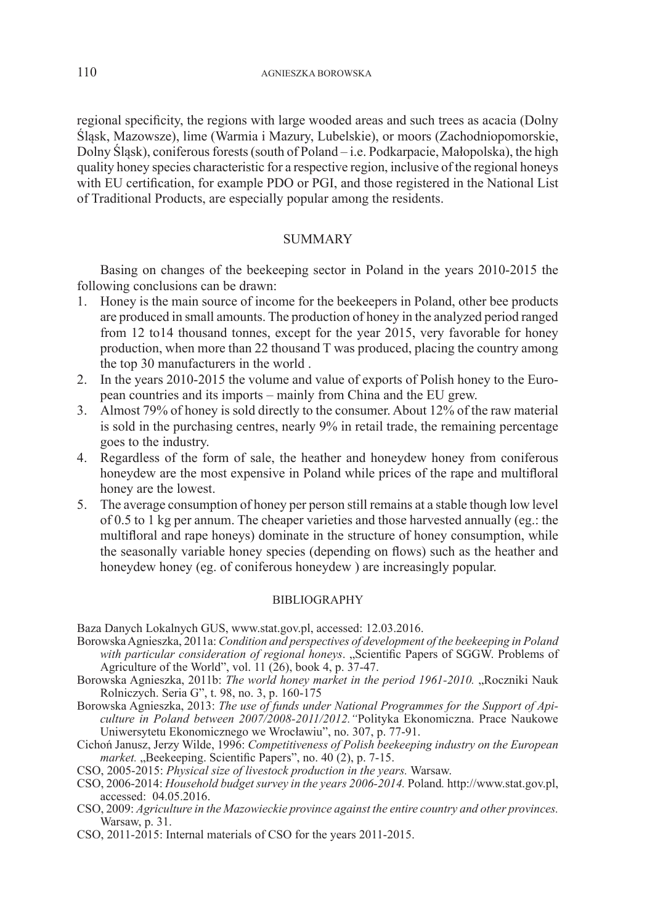regional specificity, the regions with large wooded areas and such trees as acacia (Dolny Śląsk, Mazowsze), lime (Warmia i Mazury, Lubelskie), or moors (Zachodniopomorskie, Dolny Śląsk), coniferous forests (south of Poland – i.e. Podkarpacie, Małopolska), the high quality honey species characteristic for a respective region, inclusive of the regional honeys with EU certification, for example PDO or PGI, and those registered in the National List of Traditional Products, are especially popular among the residents.

## **SUMMARY**

Basing on changes of the beekeeping sector in Poland in the years 2010-2015 the following conclusions can be drawn:

- 1. Honey is the main source of income for the beekeepers in Poland, other bee products are produced in small amounts. The production of honey in the analyzed period ranged from 12 to14 thousand tonnes, except for the year 2015, very favorable for honey production, when more than 22 thousand T was produced, placing the country among the top 30 manufacturers in the world .
- 2. In the years 2010-2015 the volume and value of exports of Polish honey to the European countries and its imports – mainly from China and the EU grew.
- 3. Almost 79% of honey is sold directly to the consumer. About 12% of the raw material is sold in the purchasing centres, nearly 9% in retail trade, the remaining percentage goes to the industry.
- 4. Regardless of the form of sale, the heather and honeydew honey from coniferous honeydew are the most expensive in Poland while prices of the rape and multifloral honey are the lowest.
- 5. The average consumption of honey per person still remains at a stable though low level of 0.5 to 1 kg per annum. The cheaper varieties and those harvested annually (eg.: the multifloral and rape honeys) dominate in the structure of honey consumption, while the seasonally variable honey species (depending on flows) such as the heather and honeydew honey (eg. of coniferous honeydew ) are increasingly popular.

#### BIBLIOGRAPHY

Baza Danych Lokalnych GUS, www.stat.gov.pl, accessed: 12.03.2016.

- Borowska Agnieszka, 2011a: *Condition and perspectives of development of the beekeeping in Poland*  with particular consideration of regional honeys. "Scientific Papers of SGGW. Problems of Agriculture of the World", vol.  $11$  (26), book 4, p.  $37-47$ .
- Borowska Agnieszka, 2011b: *The world honey market in the period 1961-2010*. "Roczniki Nauk Rolniczych. Seria G", t. 98, no. 3, p. 160-175
- Borowska Agnieszka, 2013: *The use of funds under National Programmes for the Support of Apiculture in Poland between 2007/2008-2011/2012."*Polityka Ekonomiczna. Prace Naukowe Uniwersytetu Ekonomicznego we Wrocławiu", no. 307, p. 77-91.
- Cichoń Janusz, Jerzy Wilde, 1996: *Competitiveness of Polish beekeeping industry on the European market.* "Beekeeping. Scientific Papers", no. 40 (2), p. 7-15.
- CSO, 2005-2015: *Physical size of livestock production in the years.* Warsaw.
- CSO, 2006-2014: *Household budget survey in the years 2006-2014.* Poland*.* http://www.stat.gov.pl, accessed: 04.05.2016.
- CSO, 2009: *Agriculture in the Mazowieckie province against the entire country and other provinces.* Warsaw, p. 31.
- CSO, 2011-2015: Internal materials of CSO for the years 2011-2015.